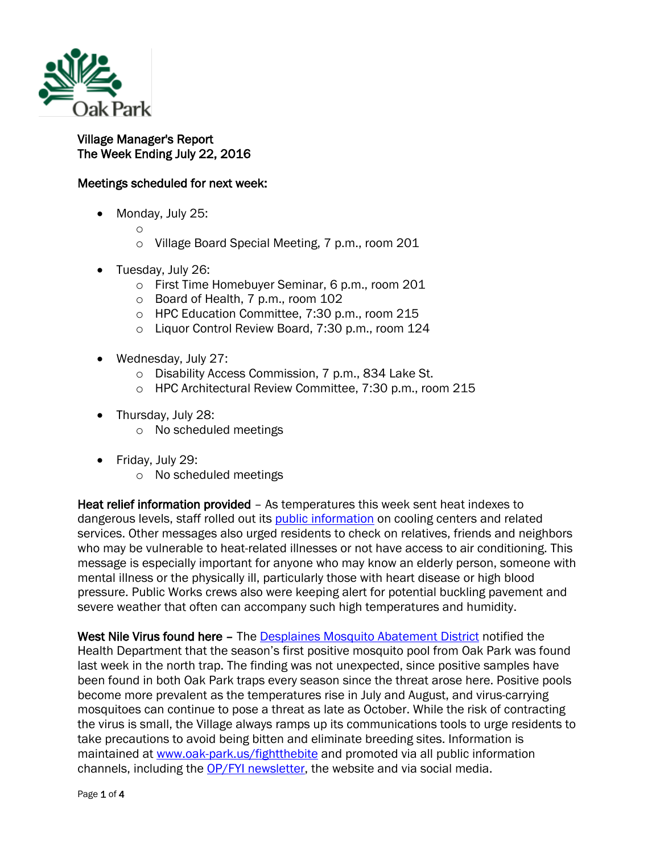

## Village Manager's Report The Week Ending July 22, 2016

## Meetings scheduled for next week:

- Monday, July 25:
	- o
	- o Village Board Special Meeting, 7 p.m., room 201
- Tuesday, July 26:
	- o First Time Homebuyer Seminar, 6 p.m., room 201
	- o Board of Health, 7 p.m., room 102
	- o HPC Education Committee, 7:30 p.m., room 215
	- o Liquor Control Review Board, 7:30 p.m., room 124
- Wednesday, July 27:
	- o Disability Access Commission, 7 p.m., 834 Lake St.
	- o HPC Architectural Review Committee, 7:30 p.m., room 215
- Thursday, July 28:
	- o No scheduled meetings
- Friday, July 29:
	- o No scheduled meetings

Heat relief information provided – As temperatures this week sent heat indexes to dangerous levels, staff rolled out its [public information](http://www.oak-park.us/news/hot-weather-prompts-calls-caution) on cooling centers and related services. Other messages also urged residents to check on relatives, friends and neighbors who may be vulnerable to heat-related illnesses or not have access to air conditioning. This message is especially important for anyone who may know an elderly person, someone with mental illness or the physically ill, particularly those with heart disease or high blood pressure. Public Works crews also were keeping alert for potential buckling pavement and severe weather that often can accompany such high temperatures and humidity.

West Nile Virus found here – The [Desplaines Mosquito Abatement District](http://www.desplainesvalleymad.com/) notified the Health Department that the season's first positive mosquito pool from Oak Park was found last week in the north trap. The finding was not unexpected, since positive samples have been found in both Oak Park traps every season since the threat arose here. Positive pools become more prevalent as the temperatures rise in July and August, and virus-carrying mosquitoes can continue to pose a threat as late as October. While the risk of contracting the virus is small, the Village always ramps up its communications tools to urge residents to take precautions to avoid being bitten and eliminate breeding sites. Information is maintained at [www.oak-park.us/fightthebite](http://www.oak-park.us/fightthebite) and promoted via all public information channels, including the [OP/FYI newsletter,](http://www.oak-park.us/newsletters/julyaugust-2016/west-nile-virus-threat-returns) the website and via social media.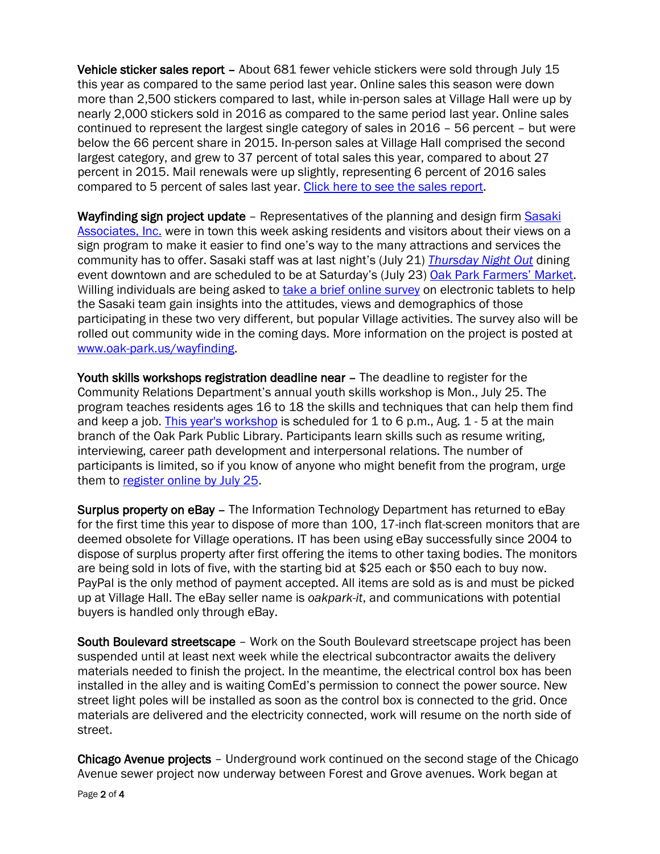Vehicle sticker sales report – About 681 fewer vehicle stickers were sold through July 15 this year as compared to the same period last year. Online sales this season were down more than 2,500 stickers compared to last, while in-person sales at Village Hall were up by nearly 2,000 stickers sold in 2016 as compared to the same period last year. Online sales continued to represent the largest single category of sales in 2016 – 56 percent – but were below the 66 percent share in 2015. In-person sales at Village Hall comprised the second largest category, and grew to 37 percent of total sales this year, compared to about 27 percent in 2015. Mail renewals were up slightly, representing 6 percent of 2016 sales compared to 5 percent of sales last year. [Click here to see the sales report.](http://www.oak-park.us/sites/default/files/456678891/2016-07-18-vehicle-sticker-sales_report2.pdf)

Wayfinding sign project update – Representatives of the planning and design firm [Sasaki](http://www.sasaki.com/)  [Associates, Inc.](http://www.sasaki.com/) were in town this week asking residents and visitors about their views on a sign program to make it easier to find one's way to the many attractions and services the community has to offer. Sasaki staff was at last night's (July 21) *[Thursday Night Out](http://www.downtownoakpark.net/signature-event/thursday-night/)* dining event downtown and are scheduled to be at Saturday's (July 23) [Oak Park Farmers' Market.](http://www.oak-park.us/our-community/oak-park-farmers-market) Willing individuals are being asked to [take a brief online survey](http://mypark.sasaki.com/oak-park/) on electronic tablets to help the Sasaki team gain insights into the attitudes, views and demographics of those participating in these two very different, but popular Village activities. The survey also will be rolled out community wide in the coming days. More information on the project is posted at [www.oak-park.us/wayfinding.](http://www.oak-park.us/wayfinding)

Youth skills workshops registration deadline near – The deadline to register for the Community Relations Department's annual youth skills workshop is Mon., July 25. The program teaches residents ages 16 to 18 the skills and techniques that can help them find and keep a job. [This year's workshop](http://r20.rs6.net/tn.jsp?f=001hirQ2HQUE0LeIPTbAf2i8k4_s3GRDc-xLCQGoRm_MxB9jdrDVUv4iQ2oGGT688_QeARf_pH2MwMqdE20pJsd6rur_RbquRHKYxM9kAC2OYfmamerNVkcRskwn6Ai1sGCBGjlZVDn2kwG_zeOp0RwLa4UGT9YzEyNjNoEhSWgtYZp6AOTy3L3qLTCnL4m2PKpaU15C0J9a8-Up_8uwTYDPQfRd54regFZoQ7tm3HM4hPkdS9EB4k673PoqfKx2vQFy_UoABeUMCSFti4jyJryqJbBFXGWkhgTH1FRO28hRaxsiIv3EMgQQ3wmF-G-af7t8QfTA_bTLRT6dg_TCqhValfe6An8ViTK8YbSyhBhgECZkt2gxrlb6A==&c=x0ppU8tGBI_-h7p18Yp6gaq8Nl2KZxpd7Ec01P-MsRhDMrQwWuNOfQ==&ch=0MpDTuEsL-1Bom4NvXYoLo4hWgSgx1SBYB15BXJqXY91FgBjnW1YAw==) is scheduled for 1 to 6 p.m., Aug. 1 - 5 at the main branch of the Oak Park Public Library. Participants learn skills such as resume writing, interviewing, career path development and interpersonal relations. The number of participants is limited, so if you know of anyone who might benefit from the program, urge them to [register online](http://r20.rs6.net/tn.jsp?f=001hirQ2HQUE0LeIPTbAf2i8k4_s3GRDc-xLCQGoRm_MxB9jdrDVUv4iQ9WECda_qdOiF3PHk1W4TSnUCON4TMM9OgofNGbPynrfA7IgRwACB8PQWDl6T9qq_QsgeeKATPYHFbX0GeyZM3shypnyumu4DH1JjEe7loq-nqE-ABQ-MoW_0At7hDX3G-Wu9IjK_8NyovSwiOl8ACB4tSvu9oRf5RlAqUjsJbtH6xggCFGKpYEqd8Jk_cqJ909Vxni4XcNCUtru2V3akqUdUXRIeXe3oRypFdmjEtyoRbcccBJIxpOZne5RuptfpOVbeUi_gf4RFg4G_X5djLi-v-Sya1t1p3oprZNBWh1lJCU5AGNvJYsCpQkhqXSJbNFkR2KhVvezHxmwyPcAx4tJ10SrS7K3ABbKeLqCUAl7XF6qIlKMuDU-qtNipmjqy2BMXjnGbEnYV2iIp0WK9vlDo1M8eXXcE6kld_DhDXE3nA9tKFvpgc=&c=x0ppU8tGBI_-h7p18Yp6gaq8Nl2KZxpd7Ec01P-MsRhDMrQwWuNOfQ==&ch=0MpDTuEsL-1Bom4NvXYoLo4hWgSgx1SBYB15BXJqXY91FgBjnW1YAw==) by July 25.

Surplus property on eBay – The Information Technology Department has returned to eBay for the first time this year to dispose of more than 100, 17-inch flat-screen monitors that are deemed obsolete for Village operations. IT has been using eBay successfully since 2004 to dispose of surplus property after first offering the items to other taxing bodies. The monitors are being sold in lots of five, with the starting bid at \$25 each or \$50 each to buy now. PayPal is the only method of payment accepted. All items are sold as is and must be picked up at Village Hall. The eBay seller name is *oakpark-it*, and communications with potential buyers is handled only through eBay.

South Boulevard streetscape – Work on the South Boulevard streetscape project has been suspended until at least next week while the electrical subcontractor awaits the delivery materials needed to finish the project. In the meantime, the electrical control box has been installed in the alley and is waiting ComEd's permission to connect the power source. New street light poles will be installed as soon as the control box is connected to the grid. Once materials are delivered and the electricity connected, work will resume on the north side of street.

Chicago Avenue projects – Underground work continued on the second stage of the Chicago Avenue sewer project now underway between Forest and Grove avenues. Work began at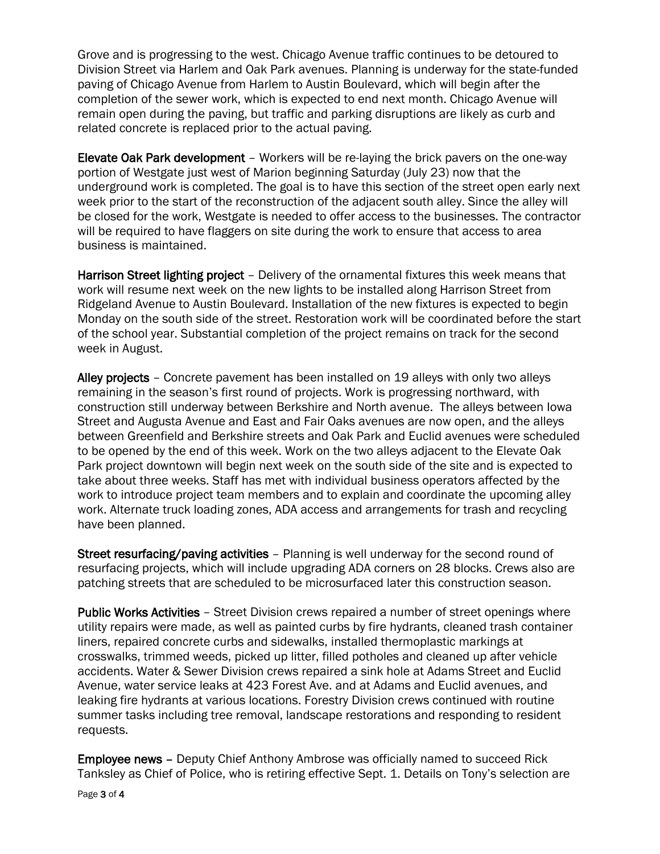Grove and is progressing to the west. Chicago Avenue traffic continues to be detoured to Division Street via Harlem and Oak Park avenues. Planning is underway for the state-funded paving of Chicago Avenue from Harlem to Austin Boulevard, which will begin after the completion of the sewer work, which is expected to end next month. Chicago Avenue will remain open during the paving, but traffic and parking disruptions are likely as curb and related concrete is replaced prior to the actual paving.

Elevate Oak Park development – Workers will be re-laying the brick pavers on the one-way portion of Westgate just west of Marion beginning Saturday (July 23) now that the underground work is completed. The goal is to have this section of the street open early next week prior to the start of the reconstruction of the adjacent south alley. Since the alley will be closed for the work, Westgate is needed to offer access to the businesses. The contractor will be required to have flaggers on site during the work to ensure that access to area business is maintained.

Harrison Street lighting project – Delivery of the ornamental fixtures this week means that work will resume next week on the new lights to be installed along Harrison Street from Ridgeland Avenue to Austin Boulevard. Installation of the new fixtures is expected to begin Monday on the south side of the street. Restoration work will be coordinated before the start of the school year. Substantial completion of the project remains on track for the second week in August.

Alley projects – Concrete pavement has been installed on 19 alleys with only two alleys remaining in the season's first round of projects. Work is progressing northward, with construction still underway between Berkshire and North avenue. The alleys between Iowa Street and Augusta Avenue and East and Fair Oaks avenues are now open, and the alleys between Greenfield and Berkshire streets and Oak Park and Euclid avenues were scheduled to be opened by the end of this week. Work on the two alleys adjacent to the Elevate Oak Park project downtown will begin next week on the south side of the site and is expected to take about three weeks. Staff has met with individual business operators affected by the work to introduce project team members and to explain and coordinate the upcoming alley work. Alternate truck loading zones, ADA access and arrangements for trash and recycling have been planned.

Street resurfacing/paving activities – Planning is well underway for the second round of resurfacing projects, which will include upgrading ADA corners on 28 blocks. Crews also are patching streets that are scheduled to be microsurfaced later this construction season.

Public Works Activities – Street Division crews repaired a number of street openings where utility repairs were made, as well as painted curbs by fire hydrants, cleaned trash container liners, repaired concrete curbs and sidewalks, installed thermoplastic markings at crosswalks, trimmed weeds, picked up litter, filled potholes and cleaned up after vehicle accidents. Water & Sewer Division crews repaired a sink hole at Adams Street and Euclid Avenue, water service leaks at 423 Forest Ave. and at Adams and Euclid avenues, and leaking fire hydrants at various locations. Forestry Division crews continued with routine summer tasks including tree removal, landscape restorations and responding to resident requests.

Employee news – Deputy Chief Anthony Ambrose was officially named to succeed Rick Tanksley as Chief of Police, who is retiring effective Sept. 1. Details on Tony's selection are